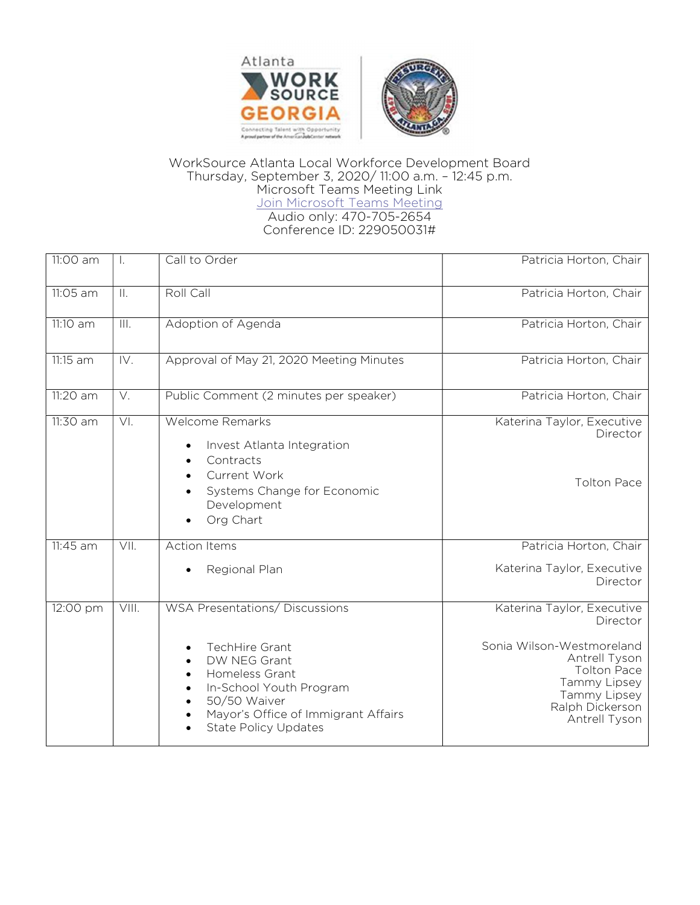

## WorkSource Atlanta Local Workforce Development Board Thursday, September 3, 2020/ 11:00 a.m. – 12:45 p.m. Microsoft Teams Meeting Link Join Microsoft Teams Meeting Audio only: 470-705-2654 Conference ID: 229050031#

| 11:00 am                      | $\perp$                    | Call to Order                                                                                                                                                                                              | Patricia Horton, Chair                                                                                                                                                         |
|-------------------------------|----------------------------|------------------------------------------------------------------------------------------------------------------------------------------------------------------------------------------------------------|--------------------------------------------------------------------------------------------------------------------------------------------------------------------------------|
| 11:05 am                      | $\mathbb{H}$ .             | Roll Call                                                                                                                                                                                                  | Patricia Horton, Chair                                                                                                                                                         |
| 11:10 am                      | ĪШ.                        | Adoption of Agenda                                                                                                                                                                                         | Patricia Horton, Chair                                                                                                                                                         |
| $11:15$ am                    | $\overline{\mathsf{IV}}$ . | Approval of May 21, 2020 Meeting Minutes                                                                                                                                                                   | Patricia Horton, Chair                                                                                                                                                         |
| 11:20 am                      | V.                         | Public Comment (2 minutes per speaker)                                                                                                                                                                     | Patricia Horton, Chair                                                                                                                                                         |
| 11:30 am                      | VI.                        | <b>Welcome Remarks</b><br>Invest Atlanta Integration<br>Contracts<br>Current Work<br>Systems Change for Economic<br>Development<br>Org Chart                                                               | Katerina Taylor, Executive<br>Director<br><b>Tolton Pace</b>                                                                                                                   |
| $11:45$ am                    | VII.                       | <b>Action Items</b><br>Regional Plan                                                                                                                                                                       | Patricia Horton, Chair<br>Katerina Taylor, Executive<br>Director                                                                                                               |
| $\overline{12:}00 \text{ pm}$ | VIII.                      | <b>WSA Presentations/ Discussions</b><br>TechHire Grant<br>DW NEG Grant<br>Homeless Grant<br>In-School Youth Program<br>50/50 Waiver<br>Mayor's Office of Immigrant Affairs<br><b>State Policy Updates</b> | Katerina Taylor, Executive<br>Director<br>Sonia Wilson-Westmoreland<br>Antrell Tyson<br><b>Tolton Pace</b><br>Tammy Lipsey<br>Tammy Lipsey<br>Ralph Dickerson<br>Antrell Tyson |